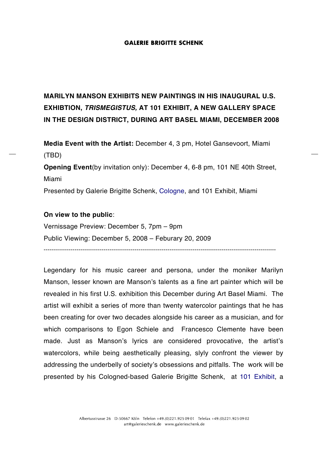## **GALERIE BRIGITTE SCHENK**

# **MARILYN MANSON EXHIBITS NEW PAINTINGS IN HIS INAUGURAL U.S. EXHIBTION,** *TRISMEGISTUS,* **AT 101 EXHIBIT, A NEW GALLERY SPACE IN THE DESIGN DISTRICT, DURING ART BASEL MIAMI, DECEMBER 2008**

**Media Event with the Artist:** December 4, 3 pm, Hotel Gansevoort, Miami (TBD)

**Opening Event**(by invitation only): December 4, 6-8 pm, 101 NE 40th Street, Miami

Presented by Galerie Brigitte Schenk, Cologne, and 101 Exhibit, Miami

## **On view to the public**:

Vernissage Preview: December 5, 7pm – 9pm Public Viewing: December 5, 2008 – Feburary 20, 2009

Legendary for his music career and persona, under the moniker Marilyn Manson, lesser known are Manson's talents as a fine art painter which will be revealed in his first U.S. exhibition this December during Art Basel Miami. The artist will exhibit a series of more than twenty watercolor paintings that he has been creating for over two decades alongside his career as a musician, and for which comparisons to Egon Schiele and Francesco Clemente have been made. Just as Manson's lyrics are considered provocative, the artist's watercolors, while being aesthetically pleasing, slyly confront the viewer by addressing the underbelly of society's obsessions and pitfalls. The work will be presented by his Cologned-based Galerie Brigitte Schenk, at 101 Exhibit, a

------------------------------------------------------------------------------------------------------------------------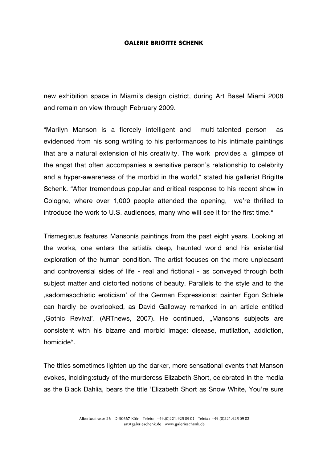### **GALERIE BRIGITTE SCHENK**

new exhibition space in Miami's design district, during Art Basel Miami 2008 and remain on view through February 2009.

"Marilyn Manson is a fiercely intelligent and multi-talented person as evidenced from his song wrtiting to his performances to his intimate paintings that are a natural extension of his creativity. The work provides a glimpse of the angst that often accompanies a sensitive person's relationship to celebrity and a hyper-awareness of the morbid in the world," stated his gallerist Brigitte Schenk. "After tremendous popular and critical response to his recent show in Cologne, where over 1,000 people attended the opening, we're thrilled to introduce the work to U.S. audiences, many who will see it for the first time."

Trismegistus features Mansonís paintings from the past eight years. Looking at the works, one enters the artistís deep, haunted world and his existential exploration of the human condition. The artist focuses on the more unpleasant and controversial sides of life - real and fictional - as conveyed through both subject matter and distorted notions of beauty. Parallels to the style and to the ,sadomasochistic eroticism' of the German Expressionist painter Egon Schiele can hardly be overlooked, as David Galloway remarked in an article entitled 'Gothic Revival'. (ARTnews, 2007). He continued, "Mansons subjects are consistent with his bizarre and morbid image: disease, mutilation, addiction, homicide".

The titles sometimes lighten up the darker, more sensational events that Manson evokes, inclding:study of the murderess Elizabeth Short, celebrated in the media as the Black Dahlia, bears the title 'Elizabeth Short as Snow White, You're sure